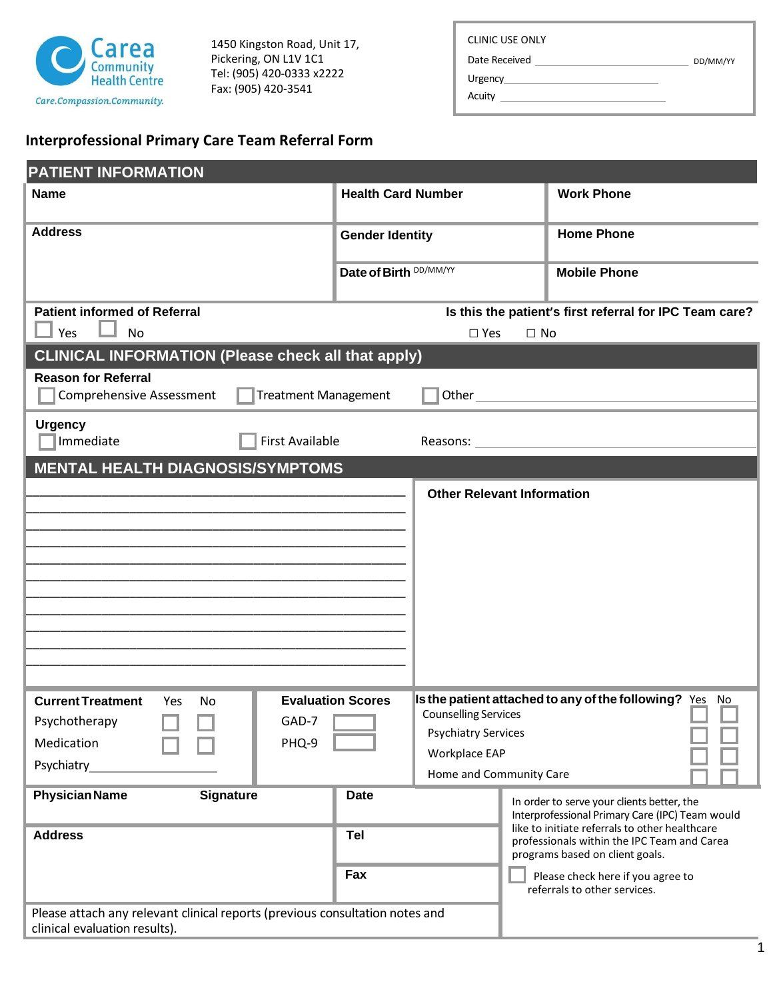

1450 Kingston Road, Unit 17, Pickering, ON L1V 1C1 Tel: (905) 420-0333 x2222 Fax: (905) 420-3541

| <b>CLINIC USE ONLY</b> |          |
|------------------------|----------|
| Date Received          | DD/MM/YY |
| Urgency                |          |
| Acuity                 |          |

## **Interprofessional Primary Care Team Referral Form**

| <b>PATIENT INFORMATION</b>                                                   |                  |                             |                                                         |                                   |                                                                                                   |                                                                                                               |  |
|------------------------------------------------------------------------------|------------------|-----------------------------|---------------------------------------------------------|-----------------------------------|---------------------------------------------------------------------------------------------------|---------------------------------------------------------------------------------------------------------------|--|
| <b>Name</b>                                                                  |                  |                             | <b>Health Card Number</b>                               |                                   |                                                                                                   | <b>Work Phone</b>                                                                                             |  |
| <b>Address</b>                                                               |                  |                             | <b>Gender Identity</b>                                  |                                   |                                                                                                   | <b>Home Phone</b>                                                                                             |  |
|                                                                              |                  |                             | Date of Birth DD/MM/YY                                  |                                   |                                                                                                   | <b>Mobile Phone</b>                                                                                           |  |
| <b>Patient informed of Referral</b>                                          |                  |                             | Is this the patient's first referral for IPC Team care? |                                   |                                                                                                   |                                                                                                               |  |
| Yes<br><b>No</b>                                                             |                  |                             |                                                         | $\square$ Yes                     | $\Box$ No                                                                                         |                                                                                                               |  |
| <b>CLINICAL INFORMATION (Please check all that apply)</b>                    |                  |                             |                                                         |                                   |                                                                                                   |                                                                                                               |  |
| <b>Reason for Referral</b><br><b>Comprehensive Assessment</b>                |                  | <b>Treatment Management</b> |                                                         |                                   |                                                                                                   | Other and the contract of the contract of the contract of the contract of the contract of the contract of the |  |
| <b>Urgency</b><br>Immediate                                                  |                  | <b>First Available</b>      |                                                         |                                   |                                                                                                   |                                                                                                               |  |
| <b>MENTAL HEALTH DIAGNOSIS/SYMPTOMS</b>                                      |                  |                             |                                                         |                                   |                                                                                                   |                                                                                                               |  |
|                                                                              |                  |                             |                                                         | <b>Other Relevant Information</b> |                                                                                                   |                                                                                                               |  |
|                                                                              |                  |                             |                                                         |                                   |                                                                                                   |                                                                                                               |  |
|                                                                              |                  |                             |                                                         |                                   |                                                                                                   |                                                                                                               |  |
|                                                                              |                  |                             |                                                         |                                   |                                                                                                   |                                                                                                               |  |
|                                                                              |                  |                             |                                                         |                                   |                                                                                                   |                                                                                                               |  |
|                                                                              |                  |                             |                                                         |                                   |                                                                                                   |                                                                                                               |  |
|                                                                              |                  |                             |                                                         |                                   |                                                                                                   |                                                                                                               |  |
|                                                                              |                  |                             |                                                         |                                   |                                                                                                   |                                                                                                               |  |
|                                                                              |                  |                             |                                                         |                                   |                                                                                                   |                                                                                                               |  |
|                                                                              |                  |                             |                                                         |                                   |                                                                                                   |                                                                                                               |  |
| <b>Current Treatment</b><br>Yes                                              | No               |                             | <b>Evaluation Scores</b>                                | <b>Counselling Services</b>       |                                                                                                   | Is the patient attached to any of the following? Yes<br>No                                                    |  |
| Psychotherapy                                                                |                  | GAD-7                       |                                                         | <b>Psychiatry Services</b>        |                                                                                                   |                                                                                                               |  |
| Medication                                                                   |                  | PHQ-9                       |                                                         | Workplace EAP                     |                                                                                                   |                                                                                                               |  |
| Psychiatry                                                                   |                  |                             |                                                         | Home and Community Care           |                                                                                                   |                                                                                                               |  |
| <b>Physician Name</b>                                                        | <b>Signature</b> |                             | <b>Date</b>                                             |                                   |                                                                                                   | In order to serve your clients better, the                                                                    |  |
|                                                                              |                  |                             |                                                         |                                   | Interprofessional Primary Care (IPC) Team would<br>like to initiate referrals to other healthcare |                                                                                                               |  |
| <b>Address</b>                                                               |                  |                             | Tel                                                     |                                   |                                                                                                   | professionals within the IPC Team and Carea                                                                   |  |
|                                                                              |                  |                             | Fax                                                     |                                   |                                                                                                   | programs based on client goals.                                                                               |  |
|                                                                              |                  |                             |                                                         |                                   |                                                                                                   | Please check here if you agree to<br>referrals to other services.                                             |  |
| Please attach any relevant clinical reports (previous consultation notes and |                  |                             |                                                         |                                   |                                                                                                   |                                                                                                               |  |
| clinical evaluation results).                                                |                  |                             |                                                         |                                   |                                                                                                   |                                                                                                               |  |